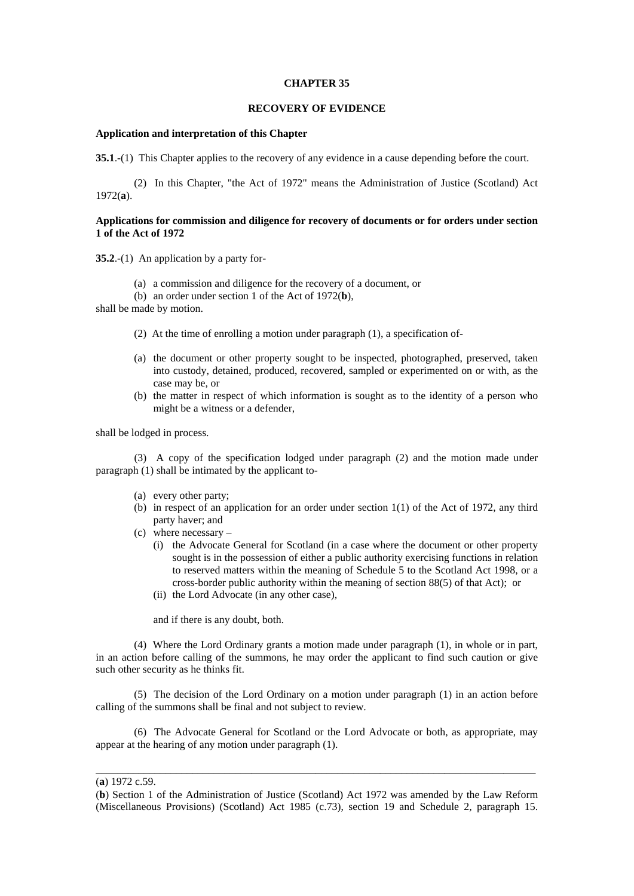#### **CHAPTER 35**

# **RECOVERY OF EVIDENCE**

## **Application and interpretation of this Chapter**

**35.1**.-(1) This Chapter applies to the recovery of any evidence in a cause depending before the court.

 (2) In this Chapter, "the Act of 1972" means the Administration of Justice (Scotland) Act 1972(**a**).

# **Applications for commission and diligence for recovery of documents or for orders under section 1 of the Act of 1972**

**35.2**.-(1) An application by a party for-

- (a) a commission and diligence for the recovery of a document, or
- (b) an order under section 1 of the Act of 1972(**b**),

shall be made by motion.

- (2) At the time of enrolling a motion under paragraph (1), a specification of-
- (a) the document or other property sought to be inspected, photographed, preserved, taken into custody, detained, produced, recovered, sampled or experimented on or with, as the case may be, or
- (b) the matter in respect of which information is sought as to the identity of a person who might be a witness or a defender,

shall be lodged in process.

 (3) A copy of the specification lodged under paragraph (2) and the motion made under paragraph (1) shall be intimated by the applicant to-

- (a) every other party;
- (b) in respect of an application for an order under section 1(1) of the Act of 1972, any third party haver; and
- (c) where necessary
	- (i) the Advocate General for Scotland (in a case where the document or other property sought is in the possession of either a public authority exercising functions in relation to reserved matters within the meaning of Schedule 5 to the Scotland Act 1998, or a cross-border public authority within the meaning of section 88(5) of that Act); or
	- (ii) the Lord Advocate (in any other case),

and if there is any doubt, both.

 (4) Where the Lord Ordinary grants a motion made under paragraph (1), in whole or in part, in an action before calling of the summons, he may order the applicant to find such caution or give such other security as he thinks fit.

 (5) The decision of the Lord Ordinary on a motion under paragraph (1) in an action before calling of the summons shall be final and not subject to review.

 (6) The Advocate General for Scotland or the Lord Advocate or both, as appropriate, may appear at the hearing of any motion under paragraph (1).

\_\_\_\_\_\_\_\_\_\_\_\_\_\_\_\_\_\_\_\_\_\_\_\_\_\_\_\_\_\_\_\_\_\_\_\_\_\_\_\_\_\_\_\_\_\_\_\_\_\_\_\_\_\_\_\_\_\_\_\_\_\_\_\_\_\_\_\_\_\_\_\_\_\_\_\_\_\_\_\_\_\_

<sup>(</sup>**a**) 1972 c.59.

<sup>(</sup>**b**) Section 1 of the Administration of Justice (Scotland) Act 1972 was amended by the Law Reform (Miscellaneous Provisions) (Scotland) Act 1985 (c.73), section 19 and Schedule 2, paragraph 15.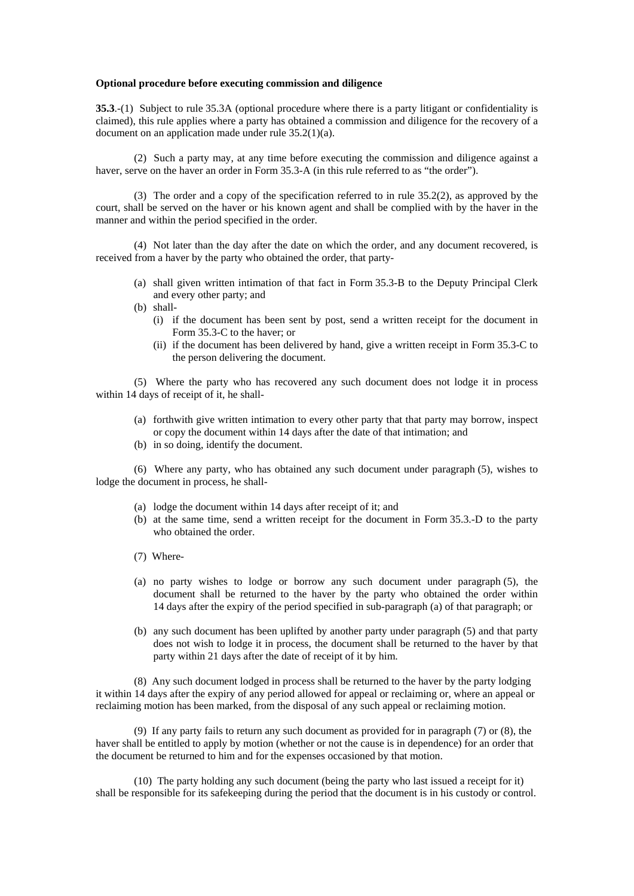#### **Optional procedure before executing commission and diligence**

**35.3**.-(1) Subject to rule 35.3A (optional procedure where there is a party litigant or confidentiality is claimed), this rule applies where a party has obtained a commission and diligence for the recovery of a document on an application made under rule 35.2(1)(a).

 (2) Such a party may, at any time before executing the commission and diligence against a haver, serve on the haver an order in Form 35.3-A (in this rule referred to as "the order").

 (3) The order and a copy of the specification referred to in rule 35.2(2), as approved by the court, shall be served on the haver or his known agent and shall be complied with by the haver in the manner and within the period specified in the order.

 (4) Not later than the day after the date on which the order, and any document recovered, is received from a haver by the party who obtained the order, that party-

- (a) shall given written intimation of that fact in Form 35.3-B to the Deputy Principal Clerk and every other party; and
- (b) shall-
	- (i) if the document has been sent by post, send a written receipt for the document in Form 35.3-C to the haver; or
	- (ii) if the document has been delivered by hand, give a written receipt in Form 35.3-C to the person delivering the document.

 (5) Where the party who has recovered any such document does not lodge it in process within 14 days of receipt of it, he shall-

- (a) forthwith give written intimation to every other party that that party may borrow, inspect or copy the document within 14 days after the date of that intimation; and
- (b) in so doing, identify the document.

 (6) Where any party, who has obtained any such document under paragraph (5), wishes to lodge the document in process, he shall-

- (a) lodge the document within 14 days after receipt of it; and
- (b) at the same time, send a written receipt for the document in Form 35.3.-D to the party who obtained the order.
- (7) Where-
- (a) no party wishes to lodge or borrow any such document under paragraph (5), the document shall be returned to the haver by the party who obtained the order within 14 days after the expiry of the period specified in sub-paragraph (a) of that paragraph; or
- (b) any such document has been uplifted by another party under paragraph (5) and that party does not wish to lodge it in process, the document shall be returned to the haver by that party within 21 days after the date of receipt of it by him.

 (8) Any such document lodged in process shall be returned to the haver by the party lodging it within 14 days after the expiry of any period allowed for appeal or reclaiming or, where an appeal or reclaiming motion has been marked, from the disposal of any such appeal or reclaiming motion.

 (9) If any party fails to return any such document as provided for in paragraph (7) or (8), the haver shall be entitled to apply by motion (whether or not the cause is in dependence) for an order that the document be returned to him and for the expenses occasioned by that motion.

 (10) The party holding any such document (being the party who last issued a receipt for it) shall be responsible for its safekeeping during the period that the document is in his custody or control.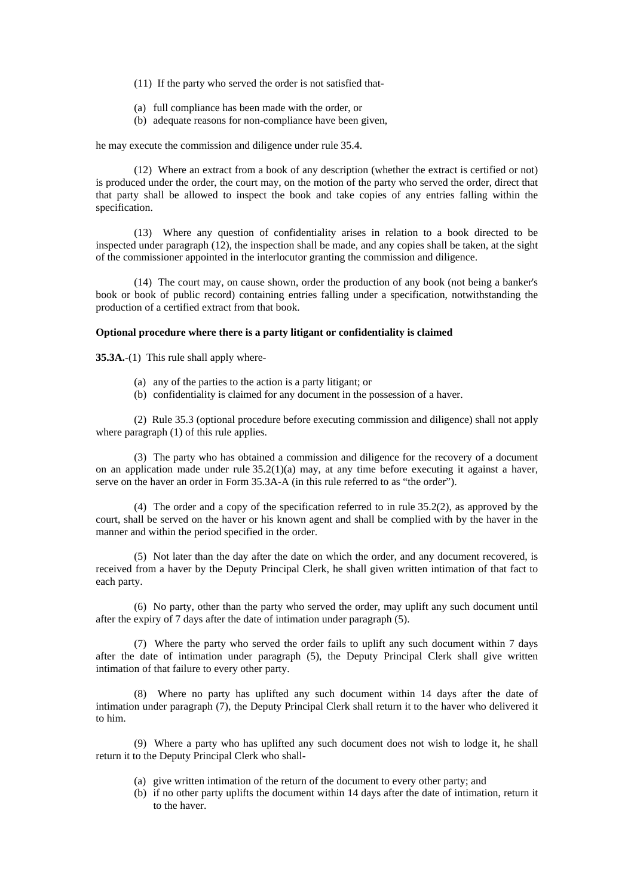- (11) If the party who served the order is not satisfied that-
- (a) full compliance has been made with the order, or
- (b) adequate reasons for non-compliance have been given,

he may execute the commission and diligence under rule 35.4.

 (12) Where an extract from a book of any description (whether the extract is certified or not) is produced under the order, the court may, on the motion of the party who served the order, direct that that party shall be allowed to inspect the book and take copies of any entries falling within the specification.

 (13) Where any question of confidentiality arises in relation to a book directed to be inspected under paragraph (12), the inspection shall be made, and any copies shall be taken, at the sight of the commissioner appointed in the interlocutor granting the commission and diligence.

 (14) The court may, on cause shown, order the production of any book (not being a banker's book or book of public record) containing entries falling under a specification, notwithstanding the production of a certified extract from that book.

# **Optional procedure where there is a party litigant or confidentiality is claimed**

**35.3A.**-(1) This rule shall apply where-

- (a) any of the parties to the action is a party litigant; or
- (b) confidentiality is claimed for any document in the possession of a haver.

 (2) Rule 35.3 (optional procedure before executing commission and diligence) shall not apply where paragraph  $(1)$  of this rule applies.

 (3) The party who has obtained a commission and diligence for the recovery of a document on an application made under rule  $35.2(1)(a)$  may, at any time before executing it against a haver, serve on the haver an order in Form 35.3A-A (in this rule referred to as "the order").

 (4) The order and a copy of the specification referred to in rule 35.2(2), as approved by the court, shall be served on the haver or his known agent and shall be complied with by the haver in the manner and within the period specified in the order.

 (5) Not later than the day after the date on which the order, and any document recovered, is received from a haver by the Deputy Principal Clerk, he shall given written intimation of that fact to each party.

 (6) No party, other than the party who served the order, may uplift any such document until after the expiry of 7 days after the date of intimation under paragraph (5).

 (7) Where the party who served the order fails to uplift any such document within 7 days after the date of intimation under paragraph (5), the Deputy Principal Clerk shall give written intimation of that failure to every other party.

 (8) Where no party has uplifted any such document within 14 days after the date of intimation under paragraph (7), the Deputy Principal Clerk shall return it to the haver who delivered it to him.

 (9) Where a party who has uplifted any such document does not wish to lodge it, he shall return it to the Deputy Principal Clerk who shall-

- (a) give written intimation of the return of the document to every other party; and
- (b) if no other party uplifts the document within 14 days after the date of intimation, return it to the haver.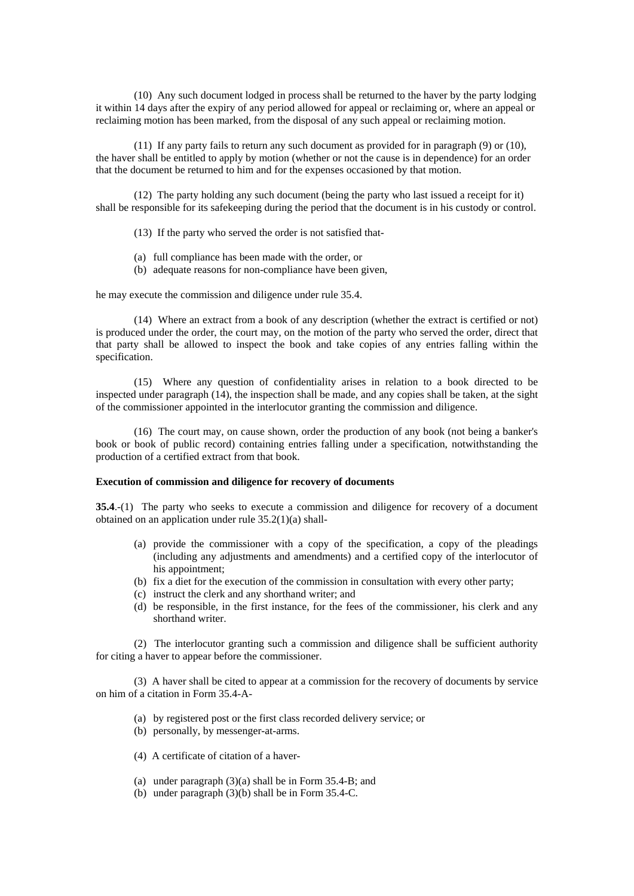(10) Any such document lodged in process shall be returned to the haver by the party lodging it within 14 days after the expiry of any period allowed for appeal or reclaiming or, where an appeal or reclaiming motion has been marked, from the disposal of any such appeal or reclaiming motion.

 (11) If any party fails to return any such document as provided for in paragraph (9) or (10), the haver shall be entitled to apply by motion (whether or not the cause is in dependence) for an order that the document be returned to him and for the expenses occasioned by that motion.

 (12) The party holding any such document (being the party who last issued a receipt for it) shall be responsible for its safekeeping during the period that the document is in his custody or control.

(13) If the party who served the order is not satisfied that-

- (a) full compliance has been made with the order, or
- (b) adequate reasons for non-compliance have been given,

he may execute the commission and diligence under rule 35.4.

 (14) Where an extract from a book of any description (whether the extract is certified or not) is produced under the order, the court may, on the motion of the party who served the order, direct that that party shall be allowed to inspect the book and take copies of any entries falling within the specification.

 (15) Where any question of confidentiality arises in relation to a book directed to be inspected under paragraph (14), the inspection shall be made, and any copies shall be taken, at the sight of the commissioner appointed in the interlocutor granting the commission and diligence.

 (16) The court may, on cause shown, order the production of any book (not being a banker's book or book of public record) containing entries falling under a specification, notwithstanding the production of a certified extract from that book.

## **Execution of commission and diligence for recovery of documents**

**35.4**.-(1) The party who seeks to execute a commission and diligence for recovery of a document obtained on an application under rule 35.2(1)(a) shall-

- (a) provide the commissioner with a copy of the specification, a copy of the pleadings (including any adjustments and amendments) and a certified copy of the interlocutor of his appointment;
- (b) fix a diet for the execution of the commission in consultation with every other party;
- (c) instruct the clerk and any shorthand writer; and
- (d) be responsible, in the first instance, for the fees of the commissioner, his clerk and any shorthand writer.

 (2) The interlocutor granting such a commission and diligence shall be sufficient authority for citing a haver to appear before the commissioner.

 (3) A haver shall be cited to appear at a commission for the recovery of documents by service on him of a citation in Form 35.4-A-

- (a) by registered post or the first class recorded delivery service; or
- (b) personally, by messenger-at-arms.
- (4) A certificate of citation of a haver-
- (a) under paragraph (3)(a) shall be in Form 35.4-B; and
- (b) under paragraph (3)(b) shall be in Form 35.4-C.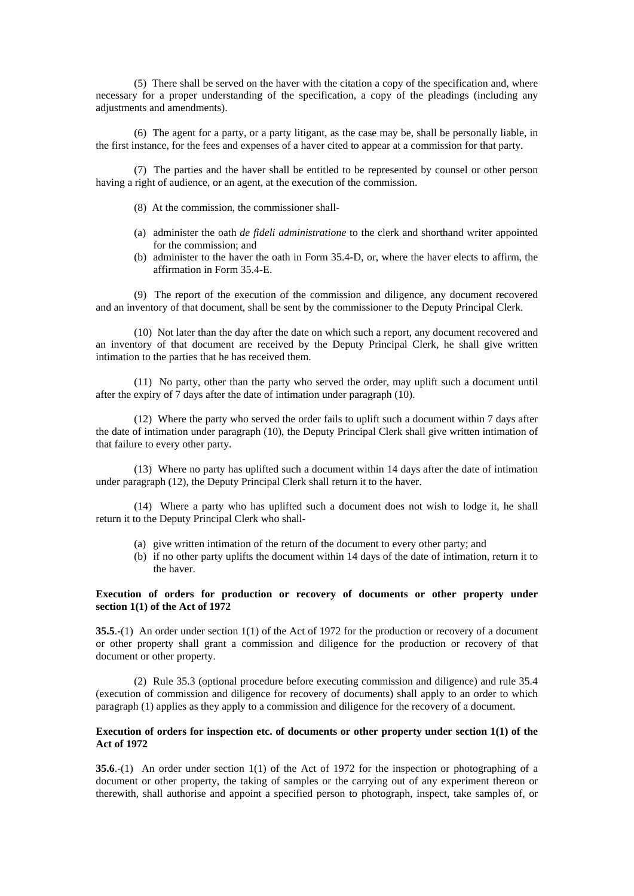(5) There shall be served on the haver with the citation a copy of the specification and, where necessary for a proper understanding of the specification, a copy of the pleadings (including any adjustments and amendments).

 (6) The agent for a party, or a party litigant, as the case may be, shall be personally liable, in the first instance, for the fees and expenses of a haver cited to appear at a commission for that party.

 (7) The parties and the haver shall be entitled to be represented by counsel or other person having a right of audience, or an agent, at the execution of the commission.

- (8) At the commission, the commissioner shall-
- (a) administer the oath *de fideli administratione* to the clerk and shorthand writer appointed for the commission; and
- (b) administer to the haver the oath in Form 35.4-D, or, where the haver elects to affirm, the affirmation in Form 35.4-E.

 (9) The report of the execution of the commission and diligence, any document recovered and an inventory of that document, shall be sent by the commissioner to the Deputy Principal Clerk.

 (10) Not later than the day after the date on which such a report, any document recovered and an inventory of that document are received by the Deputy Principal Clerk, he shall give written intimation to the parties that he has received them.

 (11) No party, other than the party who served the order, may uplift such a document until after the expiry of 7 days after the date of intimation under paragraph (10).

 (12) Where the party who served the order fails to uplift such a document within 7 days after the date of intimation under paragraph (10), the Deputy Principal Clerk shall give written intimation of that failure to every other party.

 (13) Where no party has uplifted such a document within 14 days after the date of intimation under paragraph (12), the Deputy Principal Clerk shall return it to the haver.

 (14) Where a party who has uplifted such a document does not wish to lodge it, he shall return it to the Deputy Principal Clerk who shall-

- (a) give written intimation of the return of the document to every other party; and
- (b) if no other party uplifts the document within 14 days of the date of intimation, return it to the haver.

# **Execution of orders for production or recovery of documents or other property under section 1(1) of the Act of 1972**

**35.5**.-(1) An order under section 1(1) of the Act of 1972 for the production or recovery of a document or other property shall grant a commission and diligence for the production or recovery of that document or other property.

 (2) Rule 35.3 (optional procedure before executing commission and diligence) and rule 35.4 (execution of commission and diligence for recovery of documents) shall apply to an order to which paragraph (1) applies as they apply to a commission and diligence for the recovery of a document.

# **Execution of orders for inspection etc. of documents or other property under section 1(1) of the Act of 1972**

**35.6**.-(1) An order under section 1(1) of the Act of 1972 for the inspection or photographing of a document or other property, the taking of samples or the carrying out of any experiment thereon or therewith, shall authorise and appoint a specified person to photograph, inspect, take samples of, or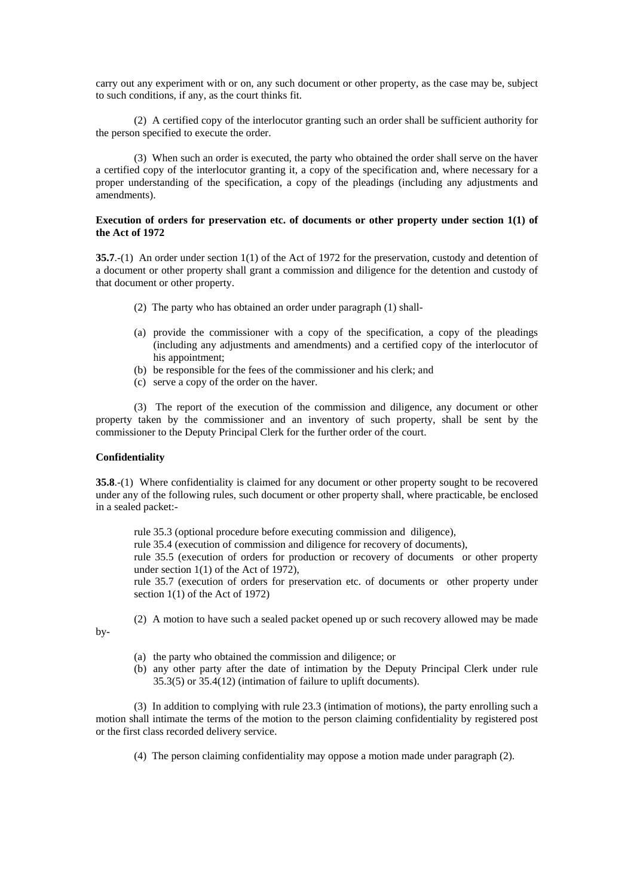carry out any experiment with or on, any such document or other property, as the case may be, subject to such conditions, if any, as the court thinks fit.

 (2) A certified copy of the interlocutor granting such an order shall be sufficient authority for the person specified to execute the order.

 (3) When such an order is executed, the party who obtained the order shall serve on the haver a certified copy of the interlocutor granting it, a copy of the specification and, where necessary for a proper understanding of the specification, a copy of the pleadings (including any adjustments and amendments).

# **Execution of orders for preservation etc. of documents or other property under section 1(1) of the Act of 1972**

**35.7**.-(1) An order under section 1(1) of the Act of 1972 for the preservation, custody and detention of a document or other property shall grant a commission and diligence for the detention and custody of that document or other property.

- (2) The party who has obtained an order under paragraph (1) shall-
- (a) provide the commissioner with a copy of the specification, a copy of the pleadings (including any adjustments and amendments) and a certified copy of the interlocutor of his appointment:
- (b) be responsible for the fees of the commissioner and his clerk; and
- (c) serve a copy of the order on the haver.

 (3) The report of the execution of the commission and diligence, any document or other property taken by the commissioner and an inventory of such property, shall be sent by the commissioner to the Deputy Principal Clerk for the further order of the court.

## **Confidentiality**

**35.8**.-(1) Where confidentiality is claimed for any document or other property sought to be recovered under any of the following rules, such document or other property shall, where practicable, be enclosed in a sealed packet:-

rule 35.3 (optional procedure before executing commission and diligence),

rule 35.4 (execution of commission and diligence for recovery of documents),

rule 35.5 (execution of orders for production or recovery of documents or other property under section 1(1) of the Act of 1972),

rule 35.7 (execution of orders for preservation etc. of documents or other property under section 1(1) of the Act of 1972)

(2) A motion to have such a sealed packet opened up or such recovery allowed may be made

by-

- (a) the party who obtained the commission and diligence; or
- (b) any other party after the date of intimation by the Deputy Principal Clerk under rule 35.3(5) or 35.4(12) (intimation of failure to uplift documents).

 (3) In addition to complying with rule 23.3 (intimation of motions), the party enrolling such a motion shall intimate the terms of the motion to the person claiming confidentiality by registered post or the first class recorded delivery service.

(4) The person claiming confidentiality may oppose a motion made under paragraph (2).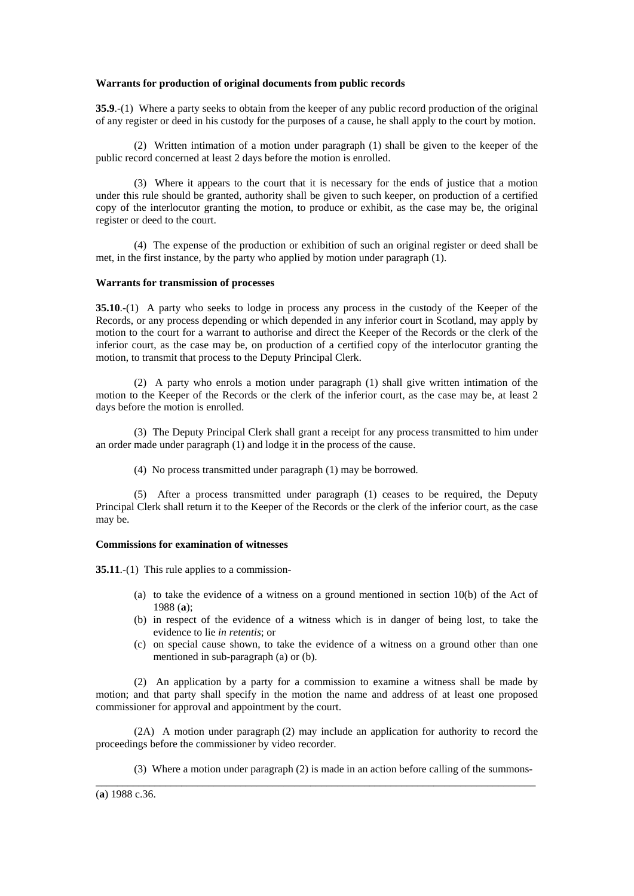### **Warrants for production of original documents from public records**

**35.9.**-(1) Where a party seeks to obtain from the keeper of any public record production of the original of any register or deed in his custody for the purposes of a cause, he shall apply to the court by motion.

 (2) Written intimation of a motion under paragraph (1) shall be given to the keeper of the public record concerned at least 2 days before the motion is enrolled.

 (3) Where it appears to the court that it is necessary for the ends of justice that a motion under this rule should be granted, authority shall be given to such keeper, on production of a certified copy of the interlocutor granting the motion, to produce or exhibit, as the case may be, the original register or deed to the court.

 (4) The expense of the production or exhibition of such an original register or deed shall be met, in the first instance, by the party who applied by motion under paragraph (1).

#### **Warrants for transmission of processes**

**35.10.**-(1) A party who seeks to lodge in process any process in the custody of the Keeper of the Records, or any process depending or which depended in any inferior court in Scotland, may apply by motion to the court for a warrant to authorise and direct the Keeper of the Records or the clerk of the inferior court, as the case may be, on production of a certified copy of the interlocutor granting the motion, to transmit that process to the Deputy Principal Clerk.

 (2) A party who enrols a motion under paragraph (1) shall give written intimation of the motion to the Keeper of the Records or the clerk of the inferior court, as the case may be, at least 2 days before the motion is enrolled.

 (3) The Deputy Principal Clerk shall grant a receipt for any process transmitted to him under an order made under paragraph (1) and lodge it in the process of the cause.

(4) No process transmitted under paragraph (1) may be borrowed.

 (5) After a process transmitted under paragraph (1) ceases to be required, the Deputy Principal Clerk shall return it to the Keeper of the Records or the clerk of the inferior court, as the case may be.

# **Commissions for examination of witnesses**

**35.11**.-(1) This rule applies to a commission-

- (a) to take the evidence of a witness on a ground mentioned in section 10(b) of the Act of 1988 (**a**);
- (b) in respect of the evidence of a witness which is in danger of being lost, to take the evidence to lie *in retentis*; or
- (c) on special cause shown, to take the evidence of a witness on a ground other than one mentioned in sub-paragraph (a) or (b).

 (2) An application by a party for a commission to examine a witness shall be made by motion; and that party shall specify in the motion the name and address of at least one proposed commissioner for approval and appointment by the court.

 (2A) A motion under paragraph (2) may include an application for authority to record the proceedings before the commissioner by video recorder.

\_\_\_\_\_\_\_\_\_\_\_\_\_\_\_\_\_\_\_\_\_\_\_\_\_\_\_\_\_\_\_\_\_\_\_\_\_\_\_\_\_\_\_\_\_\_\_\_\_\_\_\_\_\_\_\_\_\_\_\_\_\_\_\_\_\_\_\_\_\_\_\_\_\_\_\_\_\_\_\_\_\_

(3) Where a motion under paragraph (2) is made in an action before calling of the summons-

(**a**) 1988 c.36.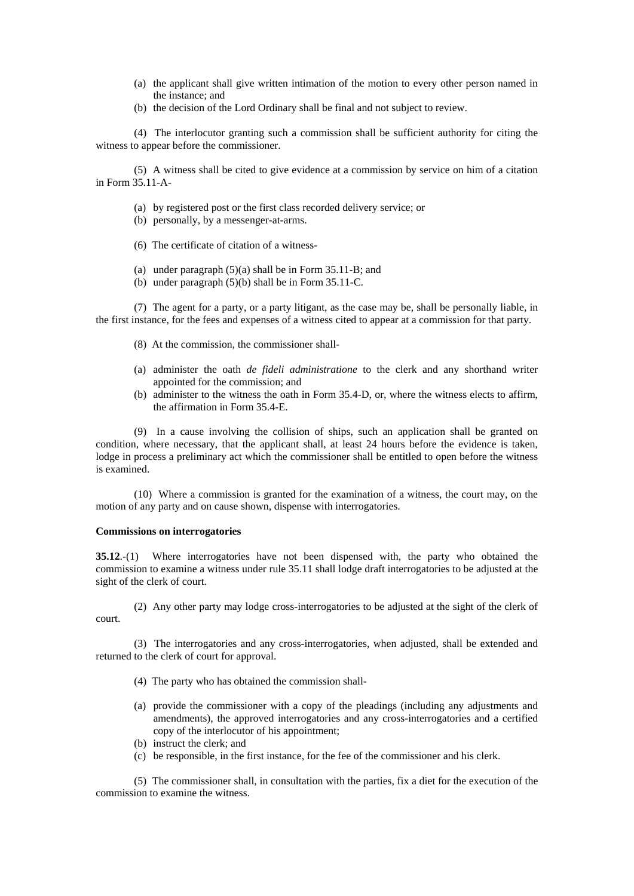- (a) the applicant shall give written intimation of the motion to every other person named in the instance; and
- (b) the decision of the Lord Ordinary shall be final and not subject to review.

 (4) The interlocutor granting such a commission shall be sufficient authority for citing the witness to appear before the commissioner.

 (5) A witness shall be cited to give evidence at a commission by service on him of a citation in Form 35.11-A-

- (a) by registered post or the first class recorded delivery service; or
- (b) personally, by a messenger-at-arms.
- (6) The certificate of citation of a witness-
- (a) under paragraph (5)(a) shall be in Form 35.11-B; and
- (b) under paragraph (5)(b) shall be in Form 35.11-C.

 (7) The agent for a party, or a party litigant, as the case may be, shall be personally liable, in the first instance, for the fees and expenses of a witness cited to appear at a commission for that party.

- (8) At the commission, the commissioner shall-
- (a) administer the oath *de fideli administratione* to the clerk and any shorthand writer appointed for the commission; and
- (b) administer to the witness the oath in Form 35.4-D, or, where the witness elects to affirm, the affirmation in Form 35.4-E.

 (9) In a cause involving the collision of ships, such an application shall be granted on condition, where necessary, that the applicant shall, at least 24 hours before the evidence is taken, lodge in process a preliminary act which the commissioner shall be entitled to open before the witness is examined.

 (10) Where a commission is granted for the examination of a witness, the court may, on the motion of any party and on cause shown, dispense with interrogatories.

## **Commissions on interrogatories**

**35.12**.-(1) Where interrogatories have not been dispensed with, the party who obtained the commission to examine a witness under rule 35.11 shall lodge draft interrogatories to be adjusted at the sight of the clerk of court.

 (2) Any other party may lodge cross-interrogatories to be adjusted at the sight of the clerk of court.

 (3) The interrogatories and any cross-interrogatories, when adjusted, shall be extended and returned to the clerk of court for approval.

- (4) The party who has obtained the commission shall-
- (a) provide the commissioner with a copy of the pleadings (including any adjustments and amendments), the approved interrogatories and any cross-interrogatories and a certified copy of the interlocutor of his appointment;
- (b) instruct the clerk; and
- (c) be responsible, in the first instance, for the fee of the commissioner and his clerk.

 (5) The commissioner shall, in consultation with the parties, fix a diet for the execution of the commission to examine the witness.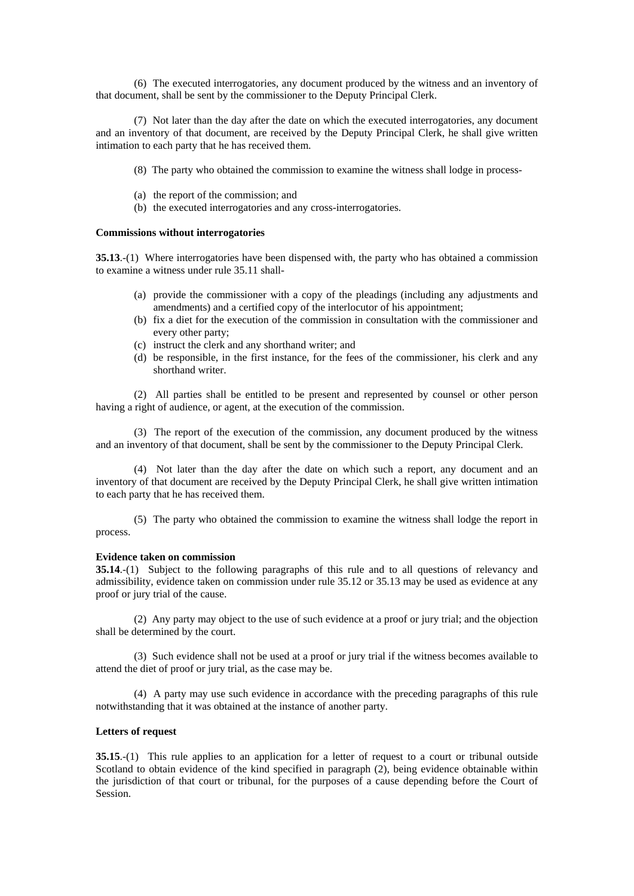(6) The executed interrogatories, any document produced by the witness and an inventory of that document, shall be sent by the commissioner to the Deputy Principal Clerk.

 (7) Not later than the day after the date on which the executed interrogatories, any document and an inventory of that document, are received by the Deputy Principal Clerk, he shall give written intimation to each party that he has received them.

- (8) The party who obtained the commission to examine the witness shall lodge in process-
- (a) the report of the commission; and
- (b) the executed interrogatories and any cross-interrogatories.

#### **Commissions without interrogatories**

**35.13**.-(1) Where interrogatories have been dispensed with, the party who has obtained a commission to examine a witness under rule 35.11 shall-

- (a) provide the commissioner with a copy of the pleadings (including any adjustments and amendments) and a certified copy of the interlocutor of his appointment;
- (b) fix a diet for the execution of the commission in consultation with the commissioner and every other party;
- (c) instruct the clerk and any shorthand writer; and
- (d) be responsible, in the first instance, for the fees of the commissioner, his clerk and any shorthand writer.

 (2) All parties shall be entitled to be present and represented by counsel or other person having a right of audience, or agent, at the execution of the commission.

 (3) The report of the execution of the commission, any document produced by the witness and an inventory of that document, shall be sent by the commissioner to the Deputy Principal Clerk.

 (4) Not later than the day after the date on which such a report, any document and an inventory of that document are received by the Deputy Principal Clerk, he shall give written intimation to each party that he has received them.

 (5) The party who obtained the commission to examine the witness shall lodge the report in process.

## **Evidence taken on commission**

**35.14**.-(1) Subject to the following paragraphs of this rule and to all questions of relevancy and admissibility, evidence taken on commission under rule 35.12 or 35.13 may be used as evidence at any proof or jury trial of the cause.

 (2) Any party may object to the use of such evidence at a proof or jury trial; and the objection shall be determined by the court.

 (3) Such evidence shall not be used at a proof or jury trial if the witness becomes available to attend the diet of proof or jury trial, as the case may be.

 (4) A party may use such evidence in accordance with the preceding paragraphs of this rule notwithstanding that it was obtained at the instance of another party.

### **Letters of request**

**35.15.**-(1) This rule applies to an application for a letter of request to a court or tribunal outside Scotland to obtain evidence of the kind specified in paragraph (2), being evidence obtainable within the jurisdiction of that court or tribunal, for the purposes of a cause depending before the Court of Session.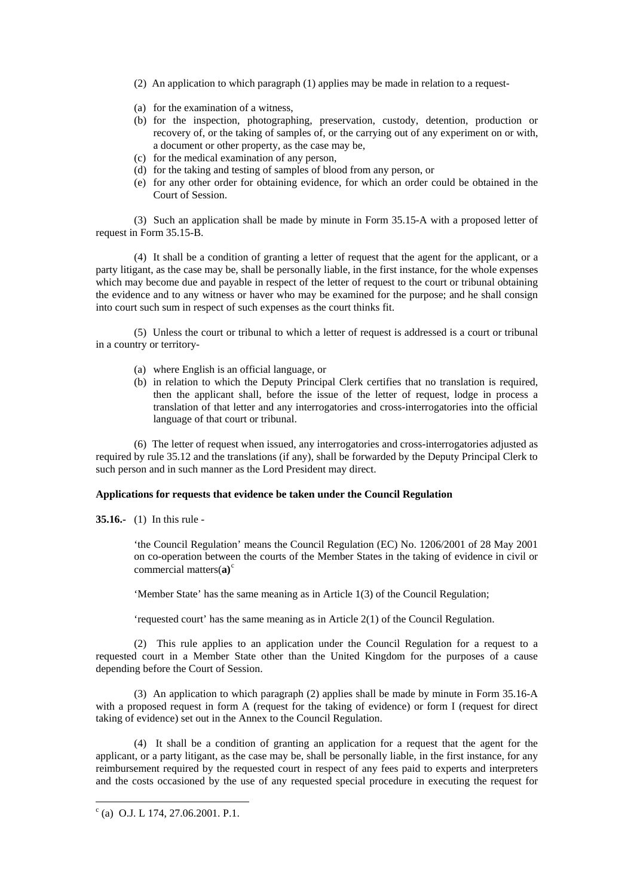- (2) An application to which paragraph (1) applies may be made in relation to a request-
- (a) for the examination of a witness,
- (b) for the inspection, photographing, preservation, custody, detention, production or recovery of, or the taking of samples of, or the carrying out of any experiment on or with, a document or other property, as the case may be,
- (c) for the medical examination of any person,
- (d) for the taking and testing of samples of blood from any person, or
- (e) for any other order for obtaining evidence, for which an order could be obtained in the Court of Session.

 (3) Such an application shall be made by minute in Form 35.15-A with a proposed letter of request in Form 35.15-B.

 (4) It shall be a condition of granting a letter of request that the agent for the applicant, or a party litigant, as the case may be, shall be personally liable, in the first instance, for the whole expenses which may become due and payable in respect of the letter of request to the court or tribunal obtaining the evidence and to any witness or haver who may be examined for the purpose; and he shall consign into court such sum in respect of such expenses as the court thinks fit.

 (5) Unless the court or tribunal to which a letter of request is addressed is a court or tribunal in a country or territory-

- (a) where English is an official language, or
- (b) in relation to which the Deputy Principal Clerk certifies that no translation is required, then the applicant shall, before the issue of the letter of request, lodge in process a translation of that letter and any interrogatories and cross-interrogatories into the official language of that court or tribunal.

 (6) The letter of request when issued, any interrogatories and cross-interrogatories adjusted as required by rule 35.12 and the translations (if any), shall be forwarded by the Deputy Principal Clerk to such person and in such manner as the Lord President may direct.

# **Applications for requests that evidence be taken under the Council Regulation**

**35.16.-** (1) In this rule -

'the Council Regulation' means the Council Regulation (EC) No. 1206/2001 of 28 May 2001 on co-operation between the courts of the Member States in the taking of evidence in civil or [c](#page-9-0)ommercial matters(a)<sup>c</sup>

'Member State' has the same meaning as in Article 1(3) of the Council Regulation;

'requested court' has the same meaning as in Article 2(1) of the Council Regulation.

 (2) This rule applies to an application under the Council Regulation for a request to a requested court in a Member State other than the United Kingdom for the purposes of a cause depending before the Court of Session.

 (3) An application to which paragraph (2) applies shall be made by minute in Form 35.16-A with a proposed request in form A (request for the taking of evidence) or form I (request for direct taking of evidence) set out in the Annex to the Council Regulation.

 (4) It shall be a condition of granting an application for a request that the agent for the applicant, or a party litigant, as the case may be, shall be personally liable, in the first instance, for any reimbursement required by the requested court in respect of any fees paid to experts and interpreters and the costs occasioned by the use of any requested special procedure in executing the request for

1

<span id="page-9-0"></span> $c$  (a) O.J. L 174, 27.06.2001. P.1.